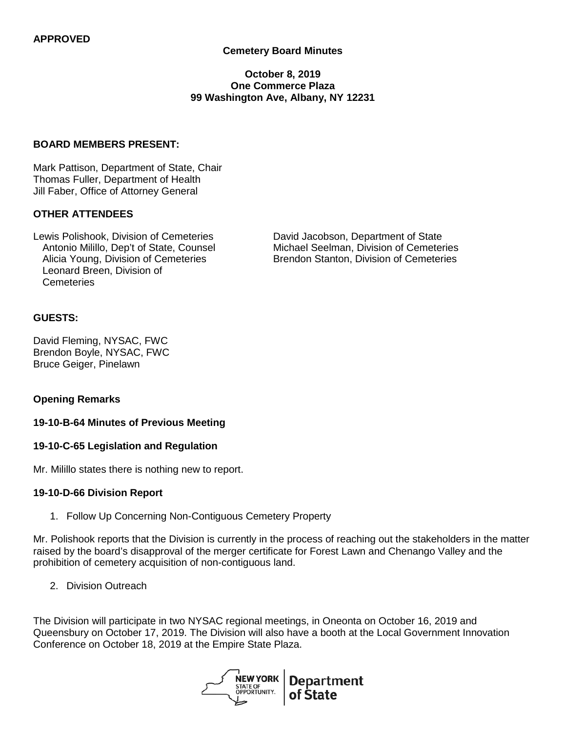## **Cemetery Board Minutes**

### **October 8, 2019 One Commerce Plaza 99 Washington Ave, Albany, NY 12231**

## **BOARD MEMBERS PRESENT:**

Mark Pattison, Department of State, Chair Thomas Fuller, Department of Health Jill Faber, Office of Attorney General

#### **OTHER ATTENDEES**

Alicia Young, Division of Cemeteries Leonard Breen, Division of **Cemeteries** 

Lewis Polishook, Division of Cemeteries David Jacobson, Department of State Antonio Milillo, Dep't of State, Counsel Michael Seelman, Division of Cemeteries<br>Alicia Young, Division of Cemeteries **Brendon Stanton, Division of Cemeteries** 

#### **GUESTS:**

David Fleming, NYSAC, FWC Brendon Boyle, NYSAC, FWC Bruce Geiger, Pinelawn

#### **Opening Remarks**

#### **19-10-B-64 Minutes of Previous Meeting**

#### **19-10-C-65 Legislation and Regulation**

Mr. Milillo states there is nothing new to report.

#### **19-10-D-66 Division Report**

1. Follow Up Concerning Non-Contiguous Cemetery Property

Mr. Polishook reports that the Division is currently in the process of reaching out the stakeholders in the matter raised by the board's disapproval of the merger certificate for Forest Lawn and Chenango Valley and the prohibition of cemetery acquisition of non-contiguous land.

2. Division Outreach

The Division will participate in two NYSAC regional meetings, in Oneonta on October 16, 2019 and Queensbury on October 17, 2019. The Division will also have a booth at the Local Government Innovation Conference on October 18, 2019 at the Empire State Plaza.

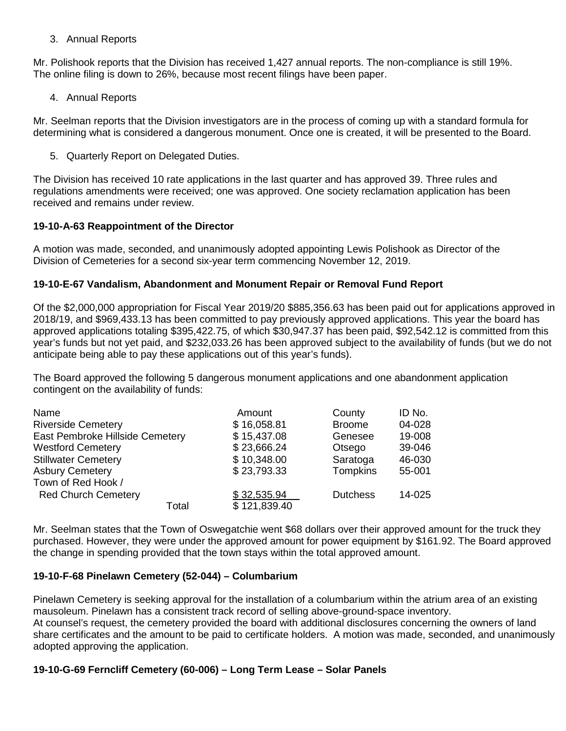## 3. Annual Reports

Mr. Polishook reports that the Division has received 1,427 annual reports. The non-compliance is still 19%. The online filing is down to 26%, because most recent filings have been paper.

### 4. Annual Reports

Mr. Seelman reports that the Division investigators are in the process of coming up with a standard formula for determining what is considered a dangerous monument. Once one is created, it will be presented to the Board.

5. Quarterly Report on Delegated Duties.

The Division has received 10 rate applications in the last quarter and has approved 39. Three rules and regulations amendments were received; one was approved. One society reclamation application has been received and remains under review.

## **19-10-A-63 Reappointment of the Director**

A motion was made, seconded, and unanimously adopted appointing Lewis Polishook as Director of the Division of Cemeteries for a second six-year term commencing November 12, 2019.

### **19-10-E-67 Vandalism, Abandonment and Monument Repair or Removal Fund Report**

Of the \$2,000,000 appropriation for Fiscal Year 2019/20 \$885,356.63 has been paid out for applications approved in 2018/19, and \$969,433.13 has been committed to pay previously approved applications. This year the board has approved applications totaling \$395,422.75, of which \$30,947.37 has been paid, \$92,542.12 is committed from this year's funds but not yet paid, and \$232,033.26 has been approved subject to the availability of funds (but we do not anticipate being able to pay these applications out of this year's funds).

The Board approved the following 5 dangerous monument applications and one abandonment application contingent on the availability of funds:

| Name                            | Amount       | County          | ID No. |
|---------------------------------|--------------|-----------------|--------|
| <b>Riverside Cemetery</b>       | \$16,058.81  | <b>Broome</b>   | 04-028 |
| East Pembroke Hillside Cemetery | \$15,437.08  | Genesee         | 19-008 |
| <b>Westford Cemetery</b>        | \$23,666.24  | Otsego          | 39-046 |
| <b>Stillwater Cemetery</b>      | \$10,348.00  | Saratoga        | 46-030 |
| <b>Asbury Cemetery</b>          | \$23,793.33  | <b>Tompkins</b> | 55-001 |
| Town of Red Hook /              |              |                 |        |
| <b>Red Church Cemetery</b>      | \$32,535.94  | <b>Dutchess</b> | 14-025 |
| Total                           | \$121,839.40 |                 |        |

Mr. Seelman states that the Town of Oswegatchie went \$68 dollars over their approved amount for the truck they purchased. However, they were under the approved amount for power equipment by \$161.92. The Board approved the change in spending provided that the town stays within the total approved amount.

## **19-10-F-68 Pinelawn Cemetery (52-044) – Columbarium**

Pinelawn Cemetery is seeking approval for the installation of a columbarium within the atrium area of an existing mausoleum. Pinelawn has a consistent track record of selling above-ground-space inventory. At counsel's request, the cemetery provided the board with additional disclosures concerning the owners of land

share certificates and the amount to be paid to certificate holders. A motion was made, seconded, and unanimously adopted approving the application.

## **19-10-G-69 Ferncliff Cemetery (60-006) – Long Term Lease – Solar Panels**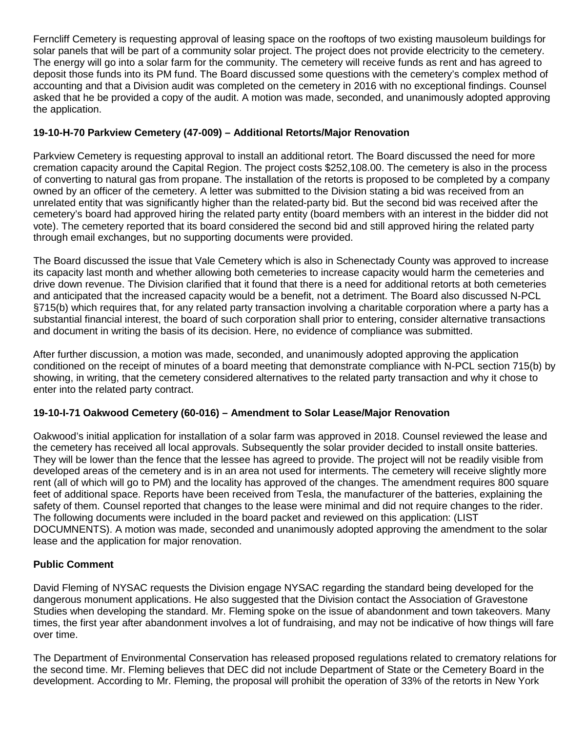Ferncliff Cemetery is requesting approval of leasing space on the rooftops of two existing mausoleum buildings for solar panels that will be part of a community solar project. The project does not provide electricity to the cemetery. The energy will go into a solar farm for the community. The cemetery will receive funds as rent and has agreed to deposit those funds into its PM fund. The Board discussed some questions with the cemetery's complex method of accounting and that a Division audit was completed on the cemetery in 2016 with no exceptional findings. Counsel asked that he be provided a copy of the audit. A motion was made, seconded, and unanimously adopted approving the application.

# **19-10-H-70 Parkview Cemetery (47-009) – Additional Retorts/Major Renovation**

Parkview Cemetery is requesting approval to install an additional retort. The Board discussed the need for more cremation capacity around the Capital Region. The project costs \$252,108.00. The cemetery is also in the process of converting to natural gas from propane. The installation of the retorts is proposed to be completed by a company owned by an officer of the cemetery. A letter was submitted to the Division stating a bid was received from an unrelated entity that was significantly higher than the related-party bid. But the second bid was received after the cemetery's board had approved hiring the related party entity (board members with an interest in the bidder did not vote). The cemetery reported that its board considered the second bid and still approved hiring the related party through email exchanges, but no supporting documents were provided.

The Board discussed the issue that Vale Cemetery which is also in Schenectady County was approved to increase its capacity last month and whether allowing both cemeteries to increase capacity would harm the cemeteries and drive down revenue. The Division clarified that it found that there is a need for additional retorts at both cemeteries and anticipated that the increased capacity would be a benefit, not a detriment. The Board also discussed N-PCL §715(b) which requires that, for any related party transaction involving a charitable corporation where a party has a substantial financial interest, the board of such corporation shall prior to entering, consider alternative transactions and document in writing the basis of its decision. Here, no evidence of compliance was submitted.

After further discussion, a motion was made, seconded, and unanimously adopted approving the application conditioned on the receipt of minutes of a board meeting that demonstrate compliance with N-PCL section 715(b) by showing, in writing, that the cemetery considered alternatives to the related party transaction and why it chose to enter into the related party contract.

# **19-10-I-71 Oakwood Cemetery (60-016) – Amendment to Solar Lease/Major Renovation**

Oakwood's initial application for installation of a solar farm was approved in 2018. Counsel reviewed the lease and the cemetery has received all local approvals. Subsequently the solar provider decided to install onsite batteries. They will be lower than the fence that the lessee has agreed to provide. The project will not be readily visible from developed areas of the cemetery and is in an area not used for interments. The cemetery will receive slightly more rent (all of which will go to PM) and the locality has approved of the changes. The amendment requires 800 square feet of additional space. Reports have been received from Tesla, the manufacturer of the batteries, explaining the safety of them. Counsel reported that changes to the lease were minimal and did not require changes to the rider. The following documents were included in the board packet and reviewed on this application: (LIST DOCUMNENTS). A motion was made, seconded and unanimously adopted approving the amendment to the solar lease and the application for major renovation.

# **Public Comment**

David Fleming of NYSAC requests the Division engage NYSAC regarding the standard being developed for the dangerous monument applications. He also suggested that the Division contact the Association of Gravestone Studies when developing the standard. Mr. Fleming spoke on the issue of abandonment and town takeovers. Many times, the first year after abandonment involves a lot of fundraising, and may not be indicative of how things will fare over time.

The Department of Environmental Conservation has released proposed regulations related to crematory relations for the second time. Mr. Fleming believes that DEC did not include Department of State or the Cemetery Board in the development. According to Mr. Fleming, the proposal will prohibit the operation of 33% of the retorts in New York